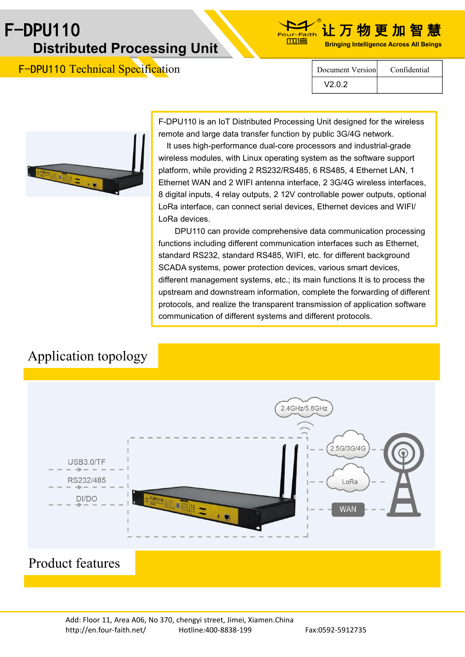# F-DPU110 让 万 物 更 加 智 慧 **Bringing Intelligence Across All Beings Distributed Processing Unit**



F-DPU110 Technical Specification



Document Version Confidential

V2.0.2

F-DPU110 is an IoT Distributed Processing Unit designed for the wireless remote and large data transfer function by public 3G/4G network.

It uses high-performance dual-core processors and industrial-grade wireless modules, with Linux operating system as the software support platform, while providing 2 RS232/RS485, 6 RS485, 4 Ethernet LAN, 1 Ethernet WAN and 2 WIFI antenna interface, 2 3G/4G wireless interfaces, 8 digital inputs, 4 relay outputs, 2 12V controllable power outputs, optional LoRa interface, can connect serial devices, Ethernet devices and WIFI/ LoRa devices.

DPU110 can provide comprehensive data communication processing functions including different communication interfaces such as Ethernet, standard RS232, standard RS485, WIFI, etc. for different background SCADA systems, power protection devices, various smart devices, different management systems, etc.; its main functions It is to process the upstream and downstream information, complete the forwarding of different protocols, and realize the transparent transmission of application software communication of different systems and different protocols.

## Application topology

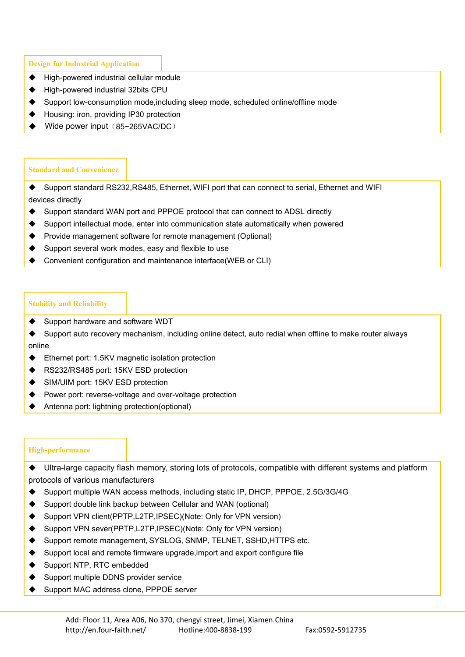**Design for Industrial Application**

- ◆ High-powered industrial cellular module
- High-powered industrial 32bits CPU
- Support low-consumption mode,including sleep mode, scheduled online/offline mode
- ◆ Housing: iron, providing IP30 protection
- Wide power input (85~265VAC/DC)

#### **Standard and Convenience**

 $\blacklozenge$  Support standard RS232, RS485, Ethernet, WIFI port that can connect to serial, Ethernet and WIFI devices directly

- Support standard WAN port and PPPOE protocol that can connect to ADSL directly
- Support intellectual mode, enter into communication state automatically when powered
- Provide management software for remote management (Optional)
- Support several work modes, easy and flexible to use
- Convenient configuration and maintenance interface(WEB or CLI)

#### **Stability and Reliability**

- ♦ Support hardware and software WDT
- Support auto recovery mechanism, including online detect, auto redial when offline to make router always online
- Ethernet port: 1.5KV magnetic isolation protection
- RS232/RS485 port: 15KV ESD protection
- SIM/UIM port: 15KV ESD protection
- ◆ Power port: reverse-voltage and over-voltage protection
- Antenna port: lightning protection(optional)

#### **High-performance**

- Ultra-large capacity flash memory, storing lots of protocols, compatible with different systems and platform protocols of various manufacturers
- ◆ Support multiple WAN access methods, including static IP, DHCP, PPPOE, 2.5G/3G/4G
- ◆ Support double link backup between Cellular and WAN (optional)
- Support VPN client(PPTP,L2TP,IPSEC)(Note: Only for VPN version)
- Support VPN sever(PPTP,L2TP,IPSEC)(Note: Only for VPN version)
- Support remote management, SYSLOG, SNMP, TELNET, SSHD, HTTPS etc.
- ◆ Support local and remote firmware upgrade, import and export configure file
- ◆ Support NTP, RTC embedded
- Support multiple DDNS provider service
- Support MAC address clone, PPPOE server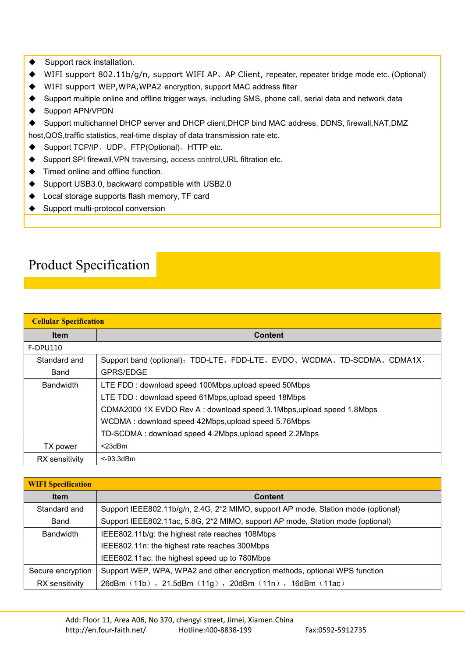- ◆ Support rack installation.
- ◆ WIFI support 802.11b/g/n, support WIFI AP、AP Client, repeater, repeater bridge mode etc. (Optional)
- WIFI support WEP,WPA,WPA2 encryption, support MAC address filter
- Support multiple online and offline trigger ways, including SMS, phone call, serial data and network data
- ◆ Support APN/VPDN
- Support multichannel DHCP server and DHCP client,DHCP bind MAC address, DDNS, firewall,NAT,DMZ
- host,QOS,traffic statistics, real-time display of data transmission rate etc.
- Support TCP/IP、UDP、FTP(Optional)、HTTP etc.
- Support SPI firewall,VPN traversing, access control,URL filtration etc.
- Timed online and offline function.
- ◆ Support USB3.0, backward compatible with USB2.0
- ◆ Local storage supports flash memory, TF card
- ◆ Support multi-protocol conversion

## Product Specification

| <b>Cellular Specification</b> |                                                                      |
|-------------------------------|----------------------------------------------------------------------|
| <b>Item</b>                   | <b>Content</b>                                                       |
| <b>F-DPU110</b>               |                                                                      |
| Standard and                  | Support band (optional): TDD-LTE、FDD-LTE、EVDO、WCDMA、TD-SCDMA、CDMA1X、 |
| Band                          | <b>GPRS/EDGE</b>                                                     |
| <b>Bandwidth</b>              | LTE FDD: download speed 100Mbps, upload speed 50Mbps                 |
|                               | LTE TDD: download speed 61Mbps, upload speed 18Mbps                  |
|                               | CDMA2000 1X EVDO Rev A: download speed 3.1Mbps, upload speed 1.8Mbps |
|                               | WCDMA: download speed 42Mbps, upload speed 5.76Mbps                  |
|                               | TD-SCDMA: download speed 4.2Mbps, upload speed 2.2Mbps               |
| TX power                      | $<$ 23dBm                                                            |
| RX sensitivity                | $<$ -93.3dBm                                                         |

| <b>WIFI Specification</b> |                                                                                   |
|---------------------------|-----------------------------------------------------------------------------------|
| <b>Item</b>               | <b>Content</b>                                                                    |
| Standard and              | Support IEEE802.11b/g/n, 2.4G, 2*2 MIMO, support AP mode, Station mode (optional) |
| Band                      | Support IEEE802.11ac, 5.8G, 2*2 MIMO, support AP mode, Station mode (optional)    |
| <b>Bandwidth</b>          | IEEE802.11b/g: the highest rate reaches 108Mbps                                   |
|                           | IEEE802.11n: the highest rate reaches 300Mbps                                     |
|                           | IEEE802.11ac: the highest speed up to 780Mbps                                     |
| Secure encryption         | Support WEP, WPA, WPA2 and other encryption methods, optional WPS function        |
| RX sensitivity            | 26dBm (11b), 21.5dBm (11g), 20dBm (11n), 16dBm (11ac)                             |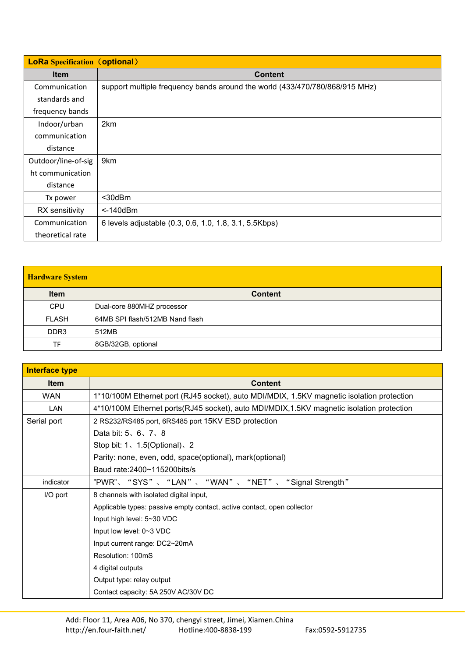| <b>LoRa</b> Specification (optional) |                                                                             |
|--------------------------------------|-----------------------------------------------------------------------------|
| <b>Item</b>                          | <b>Content</b>                                                              |
| Communication                        | support multiple frequency bands around the world (433/470/780/868/915 MHz) |
| standards and                        |                                                                             |
| frequency bands                      |                                                                             |
| Indoor/urban                         | 2km                                                                         |
| communication                        |                                                                             |
| distance                             |                                                                             |
| Outdoor/line-of-sig                  | 9km                                                                         |
| ht communication                     |                                                                             |
| distance                             |                                                                             |
| Tx power                             | $30dBm$                                                                     |
| RX sensitivity                       | $<$ -140 $dBm$                                                              |
| Communication                        | 6 levels adjustable (0.3, 0.6, 1.0, 1.8, 3.1, 5.5Kbps)                      |
| theoretical rate                     |                                                                             |

### **Hardware System**

| <b>Item</b>      | <b>Content</b>                  |
|------------------|---------------------------------|
| <b>CPU</b>       | Dual-core 880MHZ processor      |
| <b>FLASH</b>     | 64MB SPI flash/512MB Nand flash |
| DDR <sub>3</sub> | 512MB                           |
| TF               | 8GB/32GB, optional              |

| <b>Interface type</b> |                                                                                           |
|-----------------------|-------------------------------------------------------------------------------------------|
| <b>Item</b>           | <b>Content</b>                                                                            |
| <b>WAN</b>            | 1*10/100M Ethernet port (RJ45 socket), auto MDI/MDIX, 1.5KV magnetic isolation protection |
| <b>LAN</b>            | 4*10/100M Ethernet ports(RJ45 socket), auto MDI/MDIX, 1.5KV magnetic isolation protection |
| Serial port           | 2 RS232/RS485 port, 6RS485 port 15KV ESD protection                                       |
|                       | Data bit: $5, 6, 7, 8$                                                                    |
|                       | Stop bit: $1 \times 1.5$ (Optional) $\times 2$                                            |
|                       | Parity: none, even, odd, space(optional), mark(optional)                                  |
|                       | Baud rate: 2400~115200bits/s                                                              |
| indicator             | "PWR"、 "SYS"、 "LAN"、 "WAN"、 "NET"、 "Signal Strength"                                      |
| I/O port              | 8 channels with isolated digital input,                                                   |
|                       | Applicable types: passive empty contact, active contact, open collector                   |
|                       | Input high level: 5~30 VDC                                                                |
|                       | Input low level: $0~3$ VDC                                                                |
|                       | Input current range: DC2~20mA                                                             |
|                       | Resolution: 100mS                                                                         |
|                       | 4 digital outputs                                                                         |
|                       | Output type: relay output                                                                 |
|                       | Contact capacity: 5A 250V AC/30V DC                                                       |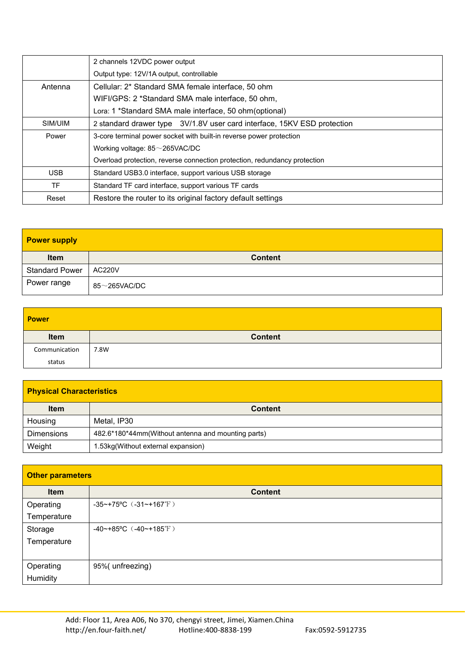|            | 2 channels 12VDC power output                                             |
|------------|---------------------------------------------------------------------------|
|            | Output type: 12V/1A output, controllable                                  |
| Antenna    | Cellular: 2* Standard SMA female interface, 50 ohm                        |
|            | WIFI/GPS: 2 *Standard SMA male interface, 50 ohm,                         |
|            | Lora: 1 *Standard SMA male interface, 50 ohm (optional)                   |
| SIM/UIM    | 2 standard drawer type 3V/1.8V user card interface, 15KV ESD protection   |
| Power      | 3-core terminal power socket with built-in reverse power protection       |
|            | Working voltage: $85\sim$ 265VAC/DC                                       |
|            | Overload protection, reverse connection protection, redundancy protection |
| <b>USB</b> | Standard USB3.0 interface, support various USB storage                    |
| TF.        | Standard TF card interface, support various TF cards                      |
| Reset      | Restore the router to its original factory default settings               |

| <b>Power supply</b>   |                    |
|-----------------------|--------------------|
| <b>Item</b>           | <b>Content</b>     |
| <b>Standard Power</b> | <b>AC220V</b>      |
| Power range           | $85\sim$ 265VAC/DC |

| <b>Power</b>  |                |
|---------------|----------------|
| Item          | <b>Content</b> |
| Communication | 7.8W           |
| status        |                |

| <b>Physical Characteristics</b> |                                                    |
|---------------------------------|----------------------------------------------------|
| <b>Item</b>                     | <b>Content</b>                                     |
| Housing                         | Metal, IP30                                        |
| <b>Dimensions</b>               | 482.6*180*44mm(Without antenna and mounting parts) |
| Weight                          | 1.53kg(Without external expansion)                 |

| <b>Other parameters</b> |                              |
|-------------------------|------------------------------|
| Item                    | <b>Content</b>               |
| Operating               | $-35$ ~+75°C $(-31$ ~+167°F) |
| Temperature             |                              |
| Storage                 | $-40$ ~+85°C $(-40$ ~+185°F) |
| Temperature             |                              |
|                         |                              |
| Operating               | 95%(unfreezing)              |
| Humidity                |                              |